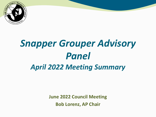

# *Snapper Grouper Advisory Panel April 2022 Meeting Summary*

**June 2022 Council Meeting Bob Lorenz, AP Chair**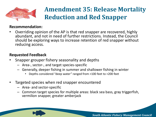

## **Amendment 35: Release Mortality Reduction and Red Snapper**

#### **Recommendation:**

• Overriding opinion of the AP is that red snapper are recovered, highly abundant, and not in need of further restrictions. Instead, the Council should be exploring ways to increase retention of red snapper without reducing access.

#### **Requested Feedback**

- Snapper grouper fishery seasonality and depths
	- Area-, sector-, and target species-specific
	- Generally, deeper fishing in summer and shallower fishing in winter
		- Depths considered "deep water" ranged from >100 feet to >200 feet
- Targeted species when red snapper encountered
	- Area- and sector-specific
	- Common target species for multiple areas: black sea bass, gray triggerfish, vermilion snapper, greater amberjack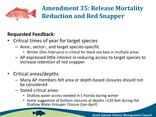

## **Amendment 35: Release Mortality Reduction and Red Snapper**

### **Requested Feedback:**

- Critical times of year for target species
	- Area-, sector-, and target species-specific
		- Winter (Dec-February) is critical for black sea bass in multiple areas
	- AP expressed little interest in reducing access to target species to increase retention of red snapper
- Critical areas/depths
	- Many AP members felt area or depth-based closures should not be considered
	- Stated critical areas:
		- Shallow water access needed in S Florida during winter
		- Some suggestion of bottom closures at depths >120 feet during the Shallow Water Grouper Closure (Jan-April)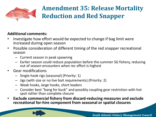

## **Amendment 35: Release Mortality Reduction and Red Snapper**

#### **Additional comments:**

- Investigate how effort would be expected to change if bag limit were increased during open season
- Possible consideration of different timing of the red snapper recreational season
	- Current season in peak spawning
	- Earlier season could reduce population before the summer SG fishery, reducing out of season encounters when rec effort is highest
- Gear modifications
	- Single hook rigs (seasonal) (Priority: 1)
	- Jigs (with size or no live bait requirements) (Priority: 2)
	- Weak hooks, large hooks, short leaders
	- Consider best "bang for buck" and possibly coupling gear restriction with hot spot rather than complete closure
- **Exclude commercial fishery from discard-reducing measures and exclude recreational for-hire component from seasonal or spatial closures**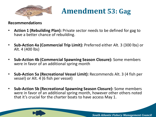

**Amendment 53: Gag**

#### **Recommendations**

- **Action 1 (Rebuilding Plan):** Private sector needs to be defined for gag to have a better chance of rebuilding.
- **Sub-Action 4a (Commercial Trip Limit):** Preferred either Alt. 3 (300 lbs) or Alt. 4 (400 lbs)
- **Sub-Action 4b (Commercial Spawning Season Closure):** Some members were in favor of an additional spring month
- **Sub-Action 5a (Recreational Vessel Limit):** Recommends Alt. 3 (4 fish per vessel) or Alt. 4 (6 fish per vessel)
- **Sub-Action 5b (Recreational Spawning Season Closure):** Some members were in favor of an additional spring month, however other others noted that it's crucial for the charter boats to have access May 1.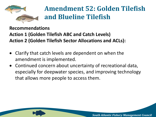

**Recommendations**

**Action 1 (Golden Tilefish ABC and Catch Levels) Action 2 (Golden Tilefish Sector Allocations and ACLs):**

- Clarify that catch levels are dependent on when the amendment is implemented.
- Continued concern about uncertainty of recreational data, especially for deepwater species, and improving technology that allows more people to access them.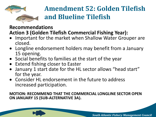

### **Recommendations Action 3 (Golden Tilefish Commercial Fishing Year):**

- Important for the market when Shallow Water Grouper are closed.
- Longline endorsement holders may benefit from a January 15 opening.
- Social benefits to families at the start of the year
- Extend fishing closer to Easter
- January 1 start date for the HL sector allows "head start" for the year.
- Consider HL endorsement in the future to address increased participation.

#### **MOTION: RECOMMEND THAT THE COMMERCIAL LONGLINE SECTOR OPEN ON JANUARY 15 (SUB-ALTERNATIVE 3A).**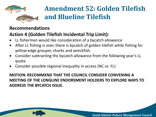

#### **Recommendations**

### **Action 4 (Golden Tilefish Incidental Trip Limit):**

- LL fishermen would like consideration of a bycatch allowance
- After LL fishing is over, there is bycatch of golden tilefish while fishing for yellow-edge grouper, sharks and wreckfish.
- Consider subtracting the bycatch allowance from the following year's LL quota
- Consider possible regional inequality in access (NC vs. FL)

**MOTION: RECOMMEND THAT THE COUNCIL CONSIDER CONVENING A MEETING OF THE LONGLINE ENDORSMENT HOLDERS TO EXPLORE WAYS TO ADDRESS THE BYCATCH ISSUE.**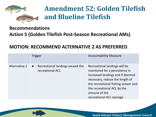

### **Recommendations Action 5 (Golden Tilefish Post-Season Recreational AMs)**

#### **MOTION: RECOMMEND ALTERNATIVE 2 AS PREFERRED**.

|               | <b>Trigger</b>                                                    | <b>Accountability Measure</b>                                                                                                                                                                                                                             |
|---------------|-------------------------------------------------------------------|-----------------------------------------------------------------------------------------------------------------------------------------------------------------------------------------------------------------------------------------------------------|
| Alternative 2 | Recreational landings exceed the<br>$\bullet$<br>recreational ACL | Recreational landings will be<br>monitored for a persistence in<br>increased landings and if deemed<br>necessary, reduce the length of<br>the recreational fishing season and<br>the recreational ACL by the<br>amount of the<br>recreational ACL overage |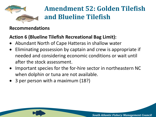

#### **Recommendations**

### **Action 6 (Blueline Tilefish Recreational Bag Limit):**

- Abundant North of Cape Hatteras in shallow water
- Eliminating possession by captain and crew is appropriate if needed and considering economic conditions or wait until after the stock assessment.
- Important species for the for-hire sector in northeastern NC when dolphin or tuna are not available.
- 3 per person with a maximum (18?)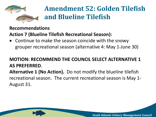

### **Recommendations Action 7 (Blueline Tilefish Recreational Season):**

• Continue to make the season coincide with the snowy grouper recreational season (alternative 4: May 1-June 30)

### **MOTION: RECOMMEND THE COUNCIL SELECT ALTERNATIVE 1 AS PREFERRED**.

**Alternative 1 (No Action).** Do not modify the blueline tilefish recreational season. The current recreational season is May 1- August 31.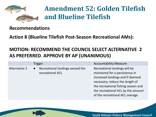

#### **Recommendations**

**Action 8 (Blueline Tilefish Post-Season Recreational AMs):**

### **MOTION: RECOMMEND THE COUNCIL SELECT ALTERNATIVE 2 AS PREFERRED**. **APPROVE BY AP (UNANIMOUS)**

|               | <b>Trigger</b>                                                    | <b>Accountability Measure</b>                                                                                                                                                                                                                          |
|---------------|-------------------------------------------------------------------|--------------------------------------------------------------------------------------------------------------------------------------------------------------------------------------------------------------------------------------------------------|
| Alternative 2 | Recreational landings exceed the<br>$\bullet$<br>recreational ACL | Recreational landings will be<br>monitored for a persistence in<br>increased landings and if deemed<br>necessary, reduce the length of<br>the recreational fishing season and<br>the recreational ACL by the amount<br>of the recreational ACL overage |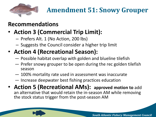

### **Recommendations**

### • **Action 3 (Commercial Trip Limit):**

- Prefers Alt. 1 (No Action, 200 lbs)
- Suggests the Council consider a higher trip limit

### • **Action 4 (Recreational Season):**

- ― Possible habitat overlap with golden and blueline tilefish
- ― Prefer snowy grouper to be open during the rec golden tilefish season
- ― 100% mortality rate used in assessment was inaccurate
- ― Increase deepwater best fishing practices education
- **Action 5 (Recreational AMs): approved motion to** add an alternative that would retain the in-season AM while removing the stock status trigger from the post-season AM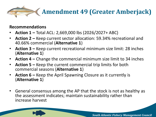

#### **Recommendations**

- **Action 1 –** Total ACL: 2,669,000 lbs (2026/2027+ ABC)
- **Action 2 –** Keep current sector allocation: 59.34% recreational and 40.66% commercial (**Alternative 1**)
- **Action 3 –** Keep current recreational minimum size limit: 28 inches (**Alternative 1**)
- **Action 4 –** Change the commercial minimum size limit to 34 inches
- **Action 5 –** Keep the current commercial trip limits for both commercial seasons (**Alternative 1**)
- **Action 6 –** Keep the April Spawning Closure as it currently is (**Alternative 1**)
- General consensus among the AP that the stock is not as healthy as the assessment indicates; maintain sustainability rather than increase harvest